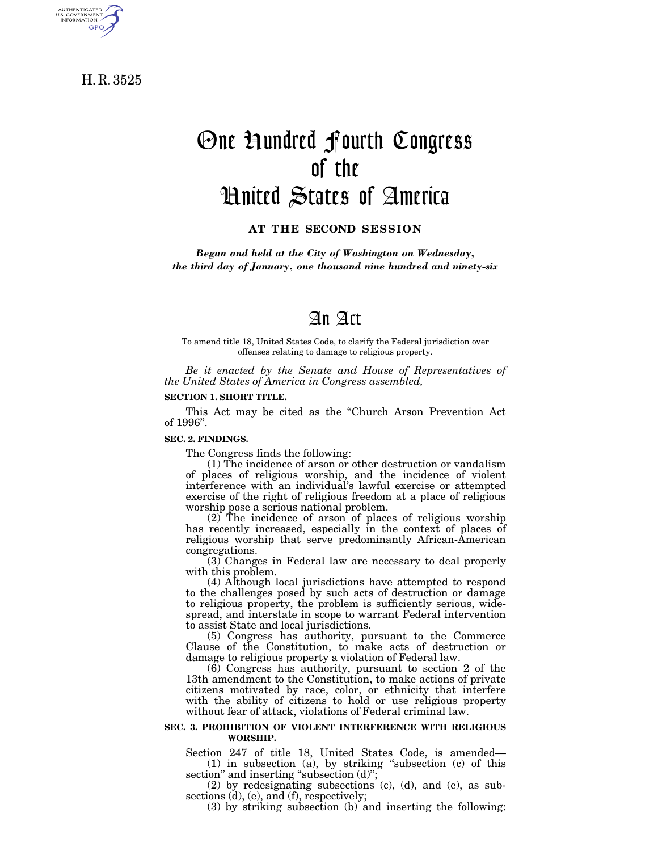H. R. 3525

AUTHENTICATED<br>U.S. GOVERNMENT<br>INFORMATION **GPO** 

# One Hundred Fourth Congress of the United States of America

**AT THE SECOND SESSION**

*Begun and held at the City of Washington on Wednesday, the third day of January, one thousand nine hundred and ninety-six*

# An Act

To amend title 18, United States Code, to clarify the Federal jurisdiction over offenses relating to damage to religious property.

*Be it enacted by the Senate and House of Representatives of the United States of America in Congress assembled,*

#### **SECTION 1. SHORT TITLE.**

This Act may be cited as the ''Church Arson Prevention Act of 1996''.

#### **SEC. 2. FINDINGS.**

The Congress finds the following:

(1) The incidence of arson or other destruction or vandalism of places of religious worship, and the incidence of violent interference with an individual's lawful exercise or attempted exercise of the right of religious freedom at a place of religious worship pose a serious national problem.

(2) The incidence of arson of places of religious worship has recently increased, especially in the context of places of religious worship that serve predominantly African-American congregations.

(3) Changes in Federal law are necessary to deal properly with this problem.

(4) Although local jurisdictions have attempted to respond to the challenges posed by such acts of destruction or damage to religious property, the problem is sufficiently serious, widespread, and interstate in scope to warrant Federal intervention to assist State and local jurisdictions.

(5) Congress has authority, pursuant to the Commerce Clause of the Constitution, to make acts of destruction or damage to religious property a violation of Federal law.

(6) Congress has authority, pursuant to section 2 of the 13th amendment to the Constitution, to make actions of private citizens motivated by race, color, or ethnicity that interfere with the ability of citizens to hold or use religious property without fear of attack, violations of Federal criminal law.

#### **SEC. 3. PROHIBITION OF VIOLENT INTERFERENCE WITH RELIGIOUS WORSHIP.**

Section 247 of title 18, United States Code, is amended— (1) in subsection (a), by striking ''subsection (c) of this section" and inserting "subsection (d)";

(2) by redesignating subsections (c), (d), and (e), as subsections (d), (e), and (f), respectively;

(3) by striking subsection (b) and inserting the following: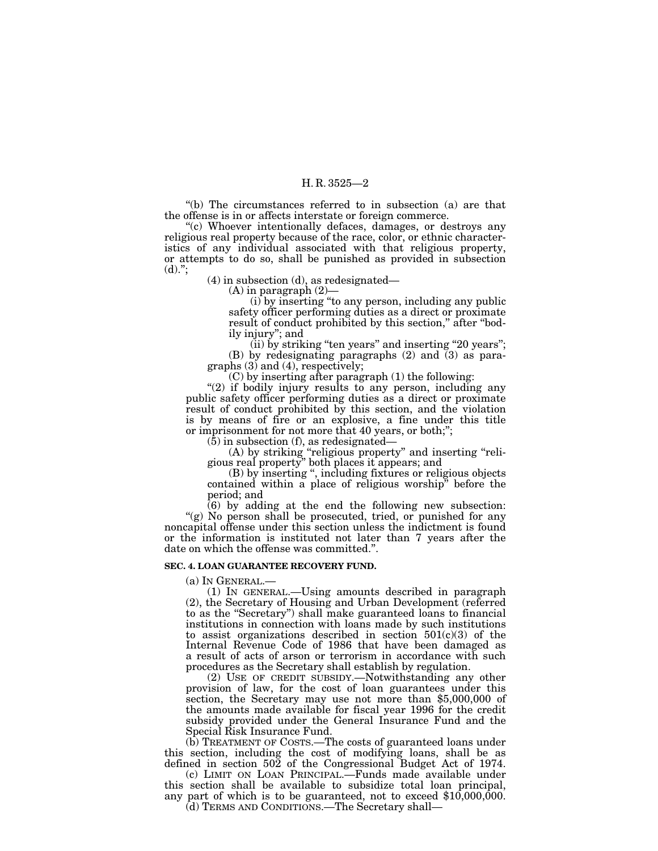#### H. R. 3525—2

''(b) The circumstances referred to in subsection (a) are that the offense is in or affects interstate or foreign commerce.

''(c) Whoever intentionally defaces, damages, or destroys any religious real property because of the race, color, or ethnic characteristics of any individual associated with that religious property, or attempts to do so, shall be punished as provided in subsection  $(d).$ ";

(4) in subsection (d), as redesignated—

 $(A)$  in paragraph  $(2)$ —

(i) by inserting ''to any person, including any public safety officer performing duties as a direct or proximate result of conduct prohibited by this section," after "bodily injury''; and

 $(iii)$  by striking "ten years" and inserting "20 years"; (B) by redesignating paragraphs (2) and (3) as paragraphs (3) and (4), respectively;

(C) by inserting after paragraph (1) the following:

"(2) if bodily injury results to any person, including any public safety officer performing duties as a direct or proximate result of conduct prohibited by this section, and the violation is by means of fire or an explosive, a fine under this title or imprisonment for not more that 40 years, or both;'';

(5) in subsection (f), as redesignated—

(A) by striking ''religious property'' and inserting ''religious real property'' both places it appears; and

(B) by inserting '', including fixtures or religious objects contained within a place of religious worship'' before the period; and

 $(6)$  by adding at the end the following new subsection: "(g) No person shall be prosecuted, tried, or punished for any noncapital offense under this section unless the indictment is found or the information is instituted not later than 7 years after the date on which the offense was committed."

#### **SEC. 4. LOAN GUARANTEE RECOVERY FUND.**

(a) IN GENERAL.— (1) IN GENERAL.—Using amounts described in paragraph (2), the Secretary of Housing and Urban Development (referred to as the ''Secretary'') shall make guaranteed loans to financial institutions in connection with loans made by such institutions to assist organizations described in section  $501(c)(3)$  of the Internal Revenue Code of 1986 that have been damaged as a result of acts of arson or terrorism in accordance with such procedures as the Secretary shall establish by regulation.

(2) USE OF CREDIT SUBSIDY.—Notwithstanding any other provision of law, for the cost of loan guarantees under this section, the Secretary may use not more than \$5,000,000 of the amounts made available for fiscal year 1996 for the credit subsidy provided under the General Insurance Fund and the Special Risk Insurance Fund.

(b) TREATMENT OF COSTS.—The costs of guaranteed loans under this section, including the cost of modifying loans, shall be as defined in section 502 of the Congressional Budget Act of 1974.

(c) LIMIT ON LOAN PRINCIPAL.—Funds made available under this section shall be available to subsidize total loan principal, any part of which is to be guaranteed, not to exceed  $$10,000,000$ .

(d) TERMS AND CONDITIONS.—The Secretary shall—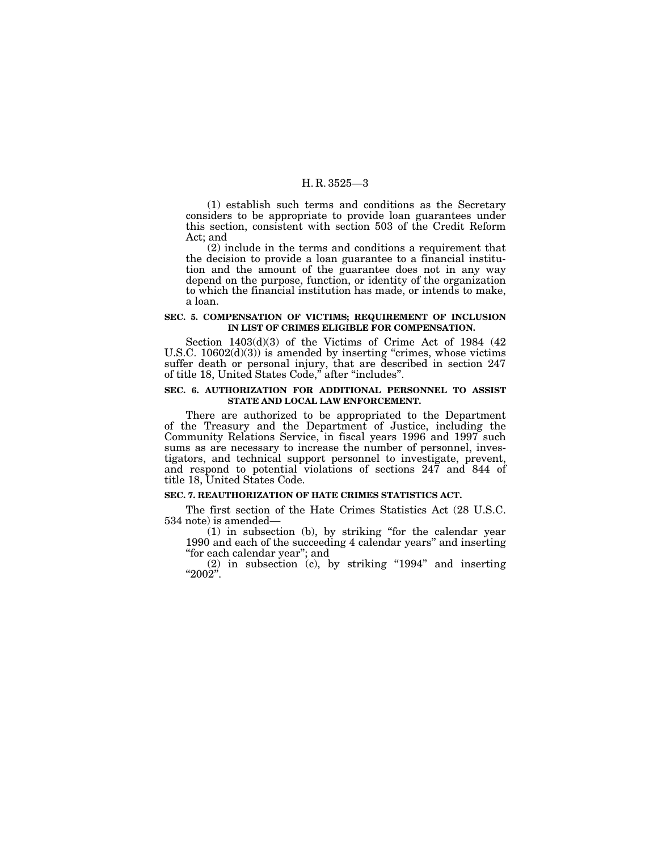#### H. R. 3525—3

(1) establish such terms and conditions as the Secretary considers to be appropriate to provide loan guarantees under this section, consistent with section 503 of the Credit Reform Act; and

(2) include in the terms and conditions a requirement that the decision to provide a loan guarantee to a financial institution and the amount of the guarantee does not in any way depend on the purpose, function, or identity of the organization to which the financial institution has made, or intends to make, a loan.

#### **SEC. 5. COMPENSATION OF VICTIMS; REQUIREMENT OF INCLUSION IN LIST OF CRIMES ELIGIBLE FOR COMPENSATION.**

Section 1403(d)(3) of the Victims of Crime Act of 1984 (42 U.S.C.  $10602(d)(3)$  is amended by inserting "crimes, whose victims suffer death or personal injury, that are described in section 247 of title 18, United States Code,'' after ''includes''.

#### **SEC. 6. AUTHORIZATION FOR ADDITIONAL PERSONNEL TO ASSIST STATE AND LOCAL LAW ENFORCEMENT.**

There are authorized to be appropriated to the Department of the Treasury and the Department of Justice, including the Community Relations Service, in fiscal years 1996 and 1997 such sums as are necessary to increase the number of personnel, investigators, and technical support personnel to investigate, prevent, and respond to potential violations of sections 247 and 844 of title 18, United States Code.

### **SEC. 7. REAUTHORIZATION OF HATE CRIMES STATISTICS ACT.**

The first section of the Hate Crimes Statistics Act (28 U.S.C. 534 note) is amended—

(1) in subsection (b), by striking ''for the calendar year 1990 and each of the succeeding 4 calendar years'' and inserting ''for each calendar year''; and

 $(2)$  in subsection  $(c)$ , by striking "1994" and inserting ''2002''.